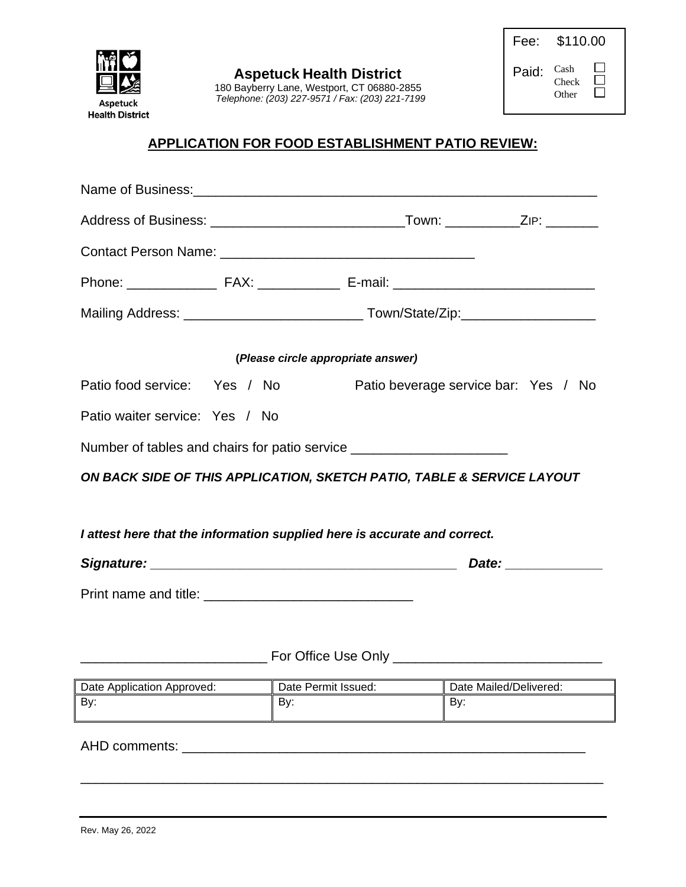

| Fee:  | \$110.00               |  |
|-------|------------------------|--|
| Paid: | Cash<br>Check<br>Other |  |

### **APPLICATION FOR FOOD ESTABLISHMENT PATIO REVIEW:**

|                                | (Please circle appropriate answer)                                               |                        |
|--------------------------------|----------------------------------------------------------------------------------|------------------------|
| Patio food service: Yes / No   | Patio beverage service bar: Yes / No                                             |                        |
| Patio waiter service: Yes / No |                                                                                  |                        |
|                                | Number of tables and chairs for patio service __________________________________ |                        |
|                                | ON BACK SIDE OF THIS APPLICATION, SKETCH PATIO, TABLE & SERVICE LAYOUT           |                        |
|                                |                                                                                  |                        |
|                                | I attest here that the information supplied here is accurate and correct.        |                        |
|                                |                                                                                  |                        |
|                                |                                                                                  |                        |
|                                |                                                                                  |                        |
|                                |                                                                                  |                        |
| Date Application Approved:     | Date Permit Issued:                                                              | Date Mailed/Delivered: |
| By:                            | By:<br>By:                                                                       |                        |
| AHD comments:                  |                                                                                  |                        |
|                                |                                                                                  |                        |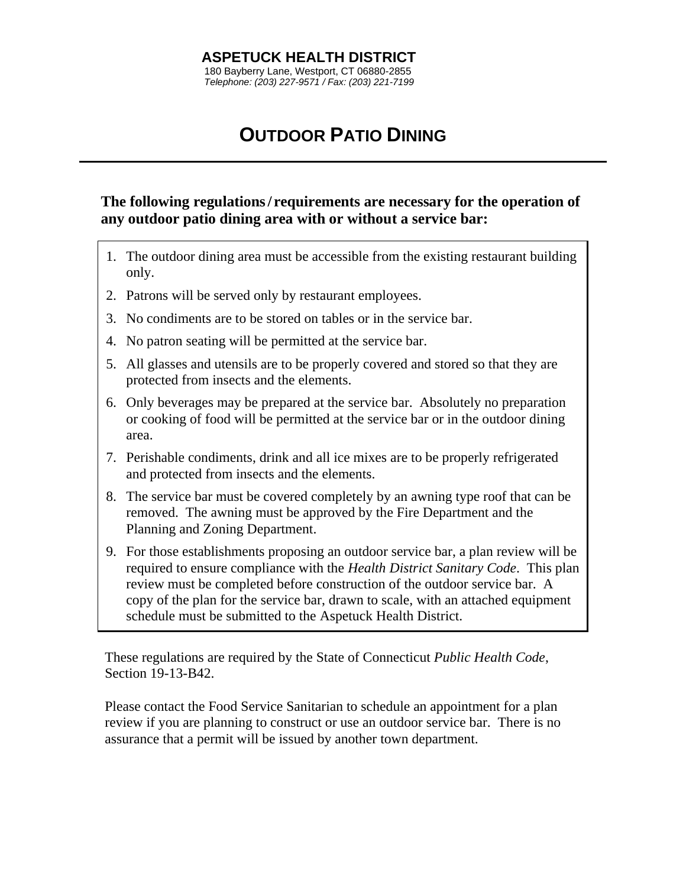#### **ASPETUCK HEALTH DISTRICT** 180 Bayberry Lane, Westport, CT 06880-2855 *Telephone: (203) 227-9571 / Fax: (203) 221-7199*

# **OUTDOOR PATIO DINING**

**The following regulations/ requirements are necessary for the operation of any outdoor patio dining area with or without a service bar:**

- 1. The outdoor dining area must be accessible from the existing restaurant building only.
- 2. Patrons will be served only by restaurant employees.
- 3. No condiments are to be stored on tables or in the service bar.
- 4. No patron seating will be permitted at the service bar.
- 5. All glasses and utensils are to be properly covered and stored so that they are protected from insects and the elements.
- 6. Only beverages may be prepared at the service bar. Absolutely no preparation or cooking of food will be permitted at the service bar or in the outdoor dining area.
- 7. Perishable condiments, drink and all ice mixes are to be properly refrigerated and protected from insects and the elements.
- 8. The service bar must be covered completely by an awning type roof that can be removed. The awning must be approved by the Fire Department and the Planning and Zoning Department.
- 9. For those establishments proposing an outdoor service bar, a plan review will be required to ensure compliance with the *Health District Sanitary Code*. This plan review must be completed before construction of the outdoor service bar. A copy of the plan for the service bar, drawn to scale, with an attached equipment schedule must be submitted to the Aspetuck Health District.

These regulations are required by the State of Connecticut *Public Health Code*, Section 19-13-B42.

Please contact the Food Service Sanitarian to schedule an appointment for a plan review if you are planning to construct or use an outdoor service bar. There is no assurance that a permit will be issued by another town department.